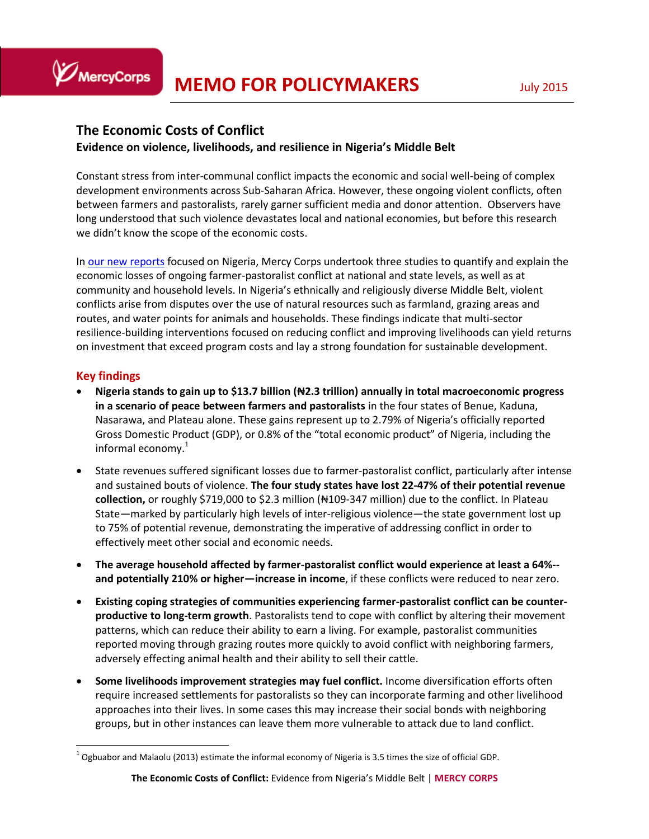# **The Economic Costs of Conflict**

## **Evidence on violence, livelihoods, and resilience in Nigeria's Middle Belt**

Constant stress from inter-communal conflict impacts the economic and social well-being of complex development environments across Sub-Saharan Africa. However, these ongoing violent conflicts, often between farmers and pastoralists, rarely garner sufficient media and donor attention. Observers have long understood that such violence devastates local and national economies, but before this research we didn't know the scope of the economic costs.

In [our new reports](https://www.mercycorps.org/research-resources/economic-costs-conflict-nigeria) focused on Nigeria, Mercy Corps undertook three studies to quantify and explain the economic losses of ongoing farmer-pastoralist conflict at national and state levels, as well as at community and household levels. In Nigeria's ethnically and religiously diverse Middle Belt, violent conflicts arise from disputes over the use of natural resources such as farmland, grazing areas and routes, and water points for animals and households. These findings indicate that multi-sector resilience-building interventions focused on reducing conflict and improving livelihoods can yield returns on investment that exceed program costs and lay a strong foundation for sustainable development.

## **Key findings**

MercyCorps

 $\overline{a}$ 

- **Nigeria stands to gain up to \$13.7 billion (₦2.3 trillion) annually in total macroeconomic progress in a scenario of peace between farmers and pastoralists** in the four states of Benue, Kaduna, Nasarawa, and Plateau alone. These gains represent up to 2.79% of Nigeria's officially reported Gross Domestic Product (GDP), or 0.8% of the "total economic product" of Nigeria, including the informal economy.<sup>1</sup>
- State revenues suffered significant losses due to farmer-pastoralist conflict, particularly after intense and sustained bouts of violence. **The four study states have lost 22-47% of their potential revenue collection,** or roughly \$719,000 to \$2.3 million (₦109-347 million) due to the conflict. In Plateau State—marked by particularly high levels of inter-religious violence—the state government lost up to 75% of potential revenue, demonstrating the imperative of addressing conflict in order to effectively meet other social and economic needs.
- **The average household affected by farmer-pastoralist conflict would experience at least a 64%- and potentially 210% or higher—increase in income**, if these conflicts were reduced to near zero.
- **Existing coping strategies of communities experiencing farmer-pastoralist conflict can be counterproductive to long-term growth**. Pastoralists tend to cope with conflict by altering their movement patterns, which can reduce their ability to earn a living. For example, pastoralist communities reported moving through grazing routes more quickly to avoid conflict with neighboring farmers, adversely effecting animal health and their ability to sell their cattle.
- **Some livelihoods improvement strategies may fuel conflict.** Income diversification efforts often require increased settlements for pastoralists so they can incorporate farming and other livelihood approaches into their lives. In some cases this may increase their social bonds with neighboring groups, but in other instances can leave them more vulnerable to attack due to land conflict.

 $^1$  Ogbuabor and Malaolu (2013) estimate the informal economy of Nigeria is 3.5 times the size of official GDP.